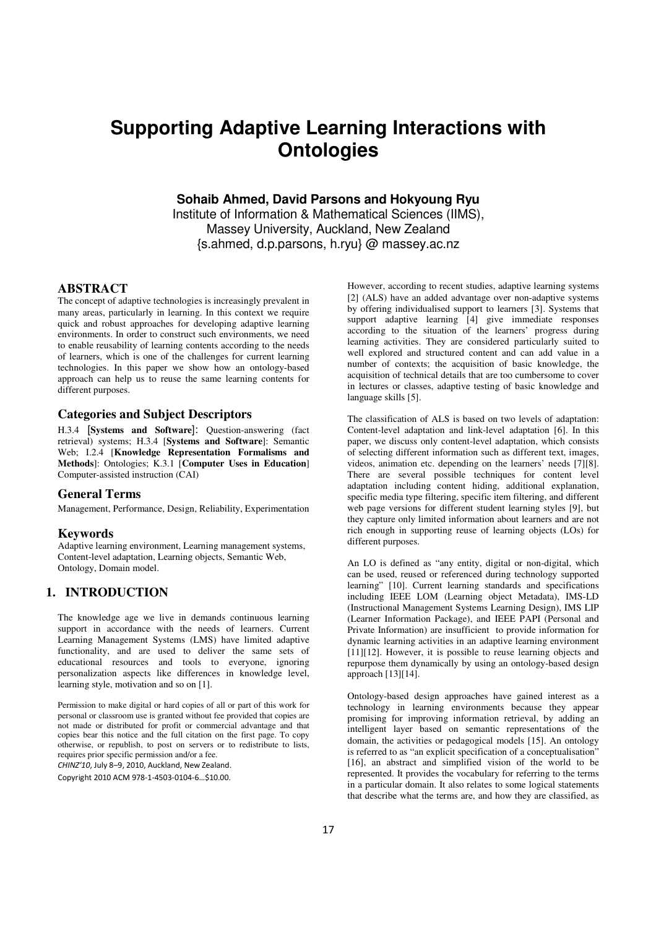# **Supporting Adaptive Learning Interactions with Ontologies**

**Sohaib Ahmed, David Parsons and Hokyoung Ryu** 

Institute of Information & Mathematical Sciences (IIMS), Massey University, Auckland, New Zealand {s.ahmed, d.p.parsons, h.ryu} @ massey.ac.nz

## **ABSTRACT**

The concept of adaptive technologies is increasingly prevalent in many areas, particularly in learning. In this context we require quick and robust approaches for developing adaptive learning environments. In order to construct such environments, we need to enable reusability of learning contents according to the needs of learners, which is one of the challenges for current learning technologies. In this paper we show how an ontology-based approach can help us to reuse the same learning contents for different purposes.

#### **Categories and Subject Descriptors**

H.3.4 [**Systems and Software**]: Question-answering (fact retrieval) systems; H.3.4 [**Systems and Software**]: Semantic Web; I.2.4 [**Knowledge Representation Formalisms and Methods**]: Ontologies; K.3.1 [**Computer Uses in Education**] Computer-assisted instruction (CAI)

#### **General Terms**

Management, Performance, Design, Reliability, Experimentation

#### **Keywords**

Adaptive learning environment, Learning management systems, Content-level adaptation, Learning objects, Semantic Web, Ontology, Domain model.

## **1. INTRODUCTION**

The knowledge age we live in demands continuous learning support in accordance with the needs of learners. Current Learning Management Systems (LMS) have limited adaptive functionality, and are used to deliver the same sets of educational resources and tools to everyone, ignoring personalization aspects like differences in knowledge level, learning style, motivation and so on [1].

Permission to make digital or hard copies of all or part of this work for personal or classroom use is granted without fee provided that copies are not made or distributed for profit or commercial advantage and that copies bear this notice and the full citation on the first page. To copy otherwise, or republish, to post on servers or to redistribute to lists, requires prior specific permission and/or a fee.

 $C$ HINZ'10, July 8–9, 2010, Auckland, New Zealand.

Copyright 2010 ACM 978-1-4503-0104-6…\$10.00.

However, according to recent studies, adaptive learning systems [2] (ALS) have an added advantage over non-adaptive systems by offering individualised support to learners [3]. Systems that support adaptive learning [4] give immediate responses according to the situation of the learners' progress during learning activities. They are considered particularly suited to well explored and structured content and can add value in a number of contexts; the acquisition of basic knowledge, the acquisition of technical details that are too cumbersome to cover in lectures or classes, adaptive testing of basic knowledge and language skills [5].

The classification of ALS is based on two levels of adaptation: Content-level adaptation and link-level adaptation [6]. In this paper, we discuss only content-level adaptation, which consists of selecting different information such as different text, images, videos, animation etc. depending on the learners' needs [7][8]. There are several possible techniques for content level adaptation including content hiding, additional explanation, specific media type filtering, specific item filtering, and different web page versions for different student learning styles [9], but they capture only limited information about learners and are not rich enough in supporting reuse of learning objects (LOs) for different purposes.

An LO is defined as "any entity, digital or non-digital, which can be used, reused or referenced during technology supported learning" [10]. Current learning standards and specifications including IEEE LOM (Learning object Metadata), IMS-LD (Instructional Management Systems Learning Design), IMS LIP (Learner Information Package), and IEEE PAPI (Personal and Private Information) are insufficient to provide information for dynamic learning activities in an adaptive learning environment [11][12]. However, it is possible to reuse learning objects and repurpose them dynamically by using an ontology-based design approach [13][14].

Ontology-based design approaches have gained interest as a technology in learning environments because they appear promising for improving information retrieval, by adding an intelligent layer based on semantic representations of the domain, the activities or pedagogical models [15]. An ontology is referred to as "an explicit specification of a conceptualisation" [16], an abstract and simplified vision of the world to be represented. It provides the vocabulary for referring to the terms in a particular domain. It also relates to some logical statements that describe what the terms are, and how they are classified, as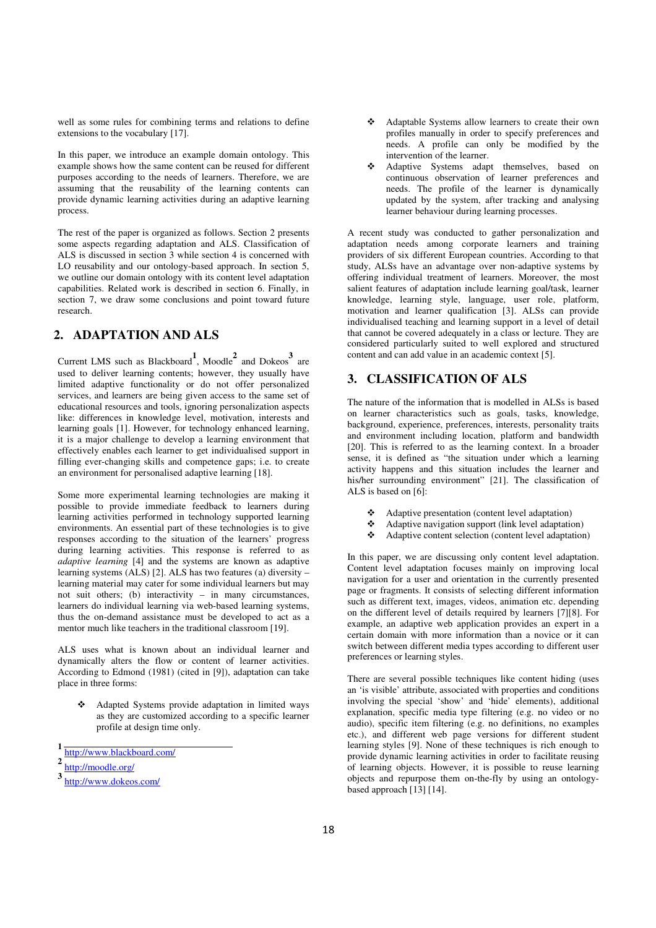well as some rules for combining terms and relations to define extensions to the vocabulary [17].

In this paper, we introduce an example domain ontology. This example shows how the same content can be reused for different purposes according to the needs of learners. Therefore, we are assuming that the reusability of the learning contents can provide dynamic learning activities during an adaptive learning process.

The rest of the paper is organized as follows. Section 2 presents some aspects regarding adaptation and ALS. Classification of ALS is discussed in section 3 while section 4 is concerned with LO reusability and our ontology-based approach. In section 5, we outline our domain ontology with its content level adaptation capabilities. Related work is described in section 6. Finally, in section 7, we draw some conclusions and point toward future research.

# **2. ADAPTATION AND ALS**

Current LMS such as Blackboard**<sup>1</sup>** , Moodle**<sup>2</sup>** and Dokeos**<sup>3</sup>** are used to deliver learning contents; however, they usually have limited adaptive functionality or do not offer personalized services, and learners are being given access to the same set of educational resources and tools, ignoring personalization aspects like: differences in knowledge level, motivation, interests and learning goals [1]. However, for technology enhanced learning, it is a major challenge to develop a learning environment that effectively enables each learner to get individualised support in filling ever-changing skills and competence gaps; i.e. to create an environment for personalised adaptive learning [18].

Some more experimental learning technologies are making it possible to provide immediate feedback to learners during learning activities performed in technology supported learning environments. An essential part of these technologies is to give responses according to the situation of the learners' progress during learning activities. This response is referred to as *adaptive learning* [4] and the systems are known as adaptive learning systems (ALS) [2]. ALS has two features (a) diversity – learning material may cater for some individual learners but may not suit others; (b) interactivity – in many circumstances, learners do individual learning via web-based learning systems, thus the on-demand assistance must be developed to act as a mentor much like teachers in the traditional classroom [19].

ALS uses what is known about an individual learner and dynamically alters the flow or content of learner activities. According to Edmond (1981) (cited in [9]), adaptation can take place in three forms:

 Adapted Systems provide adaptation in limited ways as they are customized according to a specific learner profile at design time only.

- Adaptable Systems allow learners to create their own profiles manually in order to specify preferences and needs. A profile can only be modified by the intervention of the learner.
- Adaptive Systems adapt themselves, based on continuous observation of learner preferences and needs. The profile of the learner is dynamically updated by the system, after tracking and analysing learner behaviour during learning processes.

A recent study was conducted to gather personalization and adaptation needs among corporate learners and training providers of six different European countries. According to that study, ALSs have an advantage over non-adaptive systems by offering individual treatment of learners. Moreover, the most salient features of adaptation include learning goal/task, learner knowledge, learning style, language, user role, platform, motivation and learner qualification [3]. ALSs can provide individualised teaching and learning support in a level of detail that cannot be covered adequately in a class or lecture. They are considered particularly suited to well explored and structured content and can add value in an academic context [5].

## **3. CLASSIFICATION OF ALS**

The nature of the information that is modelled in ALSs is based on learner characteristics such as goals, tasks, knowledge, background, experience, preferences, interests, personality traits and environment including location, platform and bandwidth [20]. This is referred to as the learning context. In a broader sense, it is defined as "the situation under which a learning activity happens and this situation includes the learner and his/her surrounding environment" [21]. The classification of ALS is based on [6]:

- Adaptive presentation (content level adaptation)<br>Adaptive payiestion support (link level adaptation)
- Adaptive navigation support (link level adaptation)
- Adaptive content selection (content level adaptation)

In this paper, we are discussing only content level adaptation. Content level adaptation focuses mainly on improving local navigation for a user and orientation in the currently presented page or fragments. It consists of selecting different information such as different text, images, videos, animation etc. depending on the different level of details required by learners [7][8]. For example, an adaptive web application provides an expert in a certain domain with more information than a novice or it can switch between different media types according to different user preferences or learning styles.

There are several possible techniques like content hiding (uses an 'is visible' attribute, associated with properties and conditions involving the special 'show' and 'hide' elements), additional explanation, specific media type filtering (e.g. no video or no audio), specific item filtering (e.g. no definitions, no examples etc.), and different web page versions for different student learning styles [9]. None of these techniques is rich enough to provide dynamic learning activities in order to facilitate reusing of learning objects. However, it is possible to reuse learning objects and repurpose them on-the-fly by using an ontologybased approach [13] [14].

**<sup>1</sup>** http://www.blackboard.com/

**<sup>2</sup>** http://moodle.org/

**<sup>3</sup>** http://www.dokeos.com/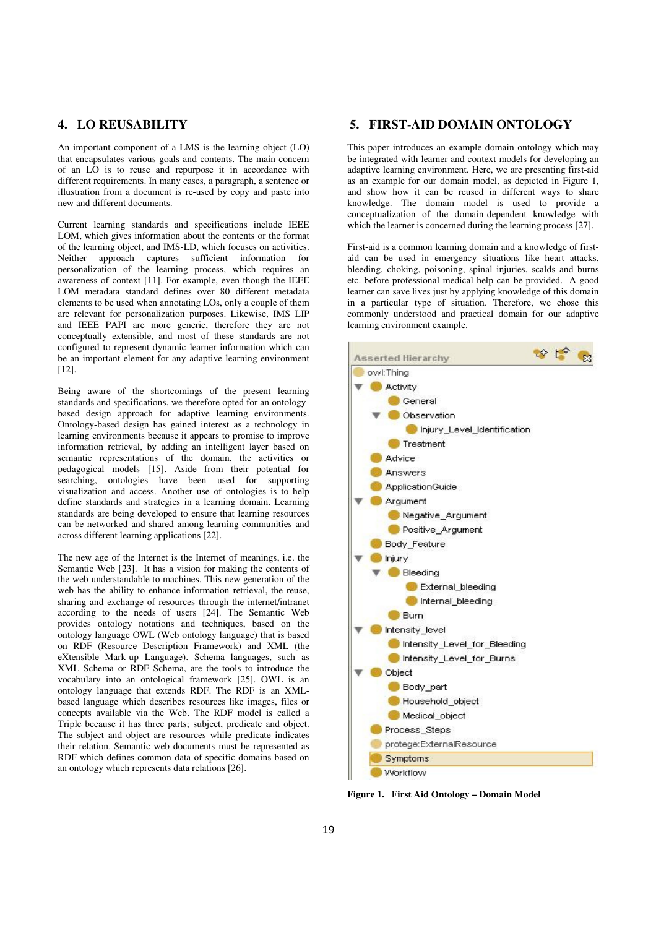# **4. LO REUSABILITY**

An important component of a LMS is the learning object (LO) that encapsulates various goals and contents. The main concern of an LO is to reuse and repurpose it in accordance with different requirements. In many cases, a paragraph, a sentence or illustration from a document is re-used by copy and paste into new and different documents.

Current learning standards and specifications include IEEE LOM, which gives information about the contents or the format of the learning object, and IMS-LD, which focuses on activities. Neither approach captures sufficient information for personalization of the learning process, which requires an awareness of context [11]. For example, even though the IEEE LOM metadata standard defines over 80 different metadata elements to be used when annotating LOs, only a couple of them are relevant for personalization purposes. Likewise, IMS LIP and IEEE PAPI are more generic, therefore they are not conceptually extensible, and most of these standards are not configured to represent dynamic learner information which can be an important element for any adaptive learning environment [12].

Being aware of the shortcomings of the present learning standards and specifications, we therefore opted for an ontologybased design approach for adaptive learning environments. Ontology-based design has gained interest as a technology in learning environments because it appears to promise to improve information retrieval, by adding an intelligent layer based on semantic representations of the domain, the activities or pedagogical models [15]. Aside from their potential for searching, ontologies have been used for supporting visualization and access. Another use of ontologies is to help define standards and strategies in a learning domain. Learning standards are being developed to ensure that learning resources can be networked and shared among learning communities and across different learning applications [22].

The new age of the Internet is the Internet of meanings, i.e. the Semantic Web [23]. It has a vision for making the contents of the web understandable to machines. This new generation of the web has the ability to enhance information retrieval, the reuse, sharing and exchange of resources through the internet/intranet according to the needs of users [24]. The Semantic Web provides ontology notations and techniques, based on the ontology language OWL (Web ontology language) that is based on RDF (Resource Description Framework) and XML (the eXtensible Mark-up Language). Schema languages, such as XML Schema or RDF Schema, are the tools to introduce the vocabulary into an ontological framework [25]. OWL is an ontology language that extends RDF. The RDF is an XMLbased language which describes resources like images, files or concepts available via the Web. The RDF model is called a Triple because it has three parts; subject, predicate and object. The subject and object are resources while predicate indicates their relation. Semantic web documents must be represented as RDF which defines common data of specific domains based on an ontology which represents data relations [26].

## **5. FIRST-AID DOMAIN ONTOLOGY**

This paper introduces an example domain ontology which may be integrated with learner and context models for developing an adaptive learning environment. Here, we are presenting first-aid as an example for our domain model, as depicted in Figure 1, and show how it can be reused in different ways to share knowledge. The domain model is used to provide a conceptualization of the domain-dependent knowledge with which the learner is concerned during the learning process [27].

First-aid is a common learning domain and a knowledge of firstaid can be used in emergency situations like heart attacks, bleeding, choking, poisoning, spinal injuries, scalds and burns etc. before professional medical help can be provided. A good learner can save lives just by applying knowledge of this domain in a particular type of situation. Therefore, we chose this commonly understood and practical domain for our adaptive learning environment example.



**Figure 1. First Aid Ontology – Domain Model**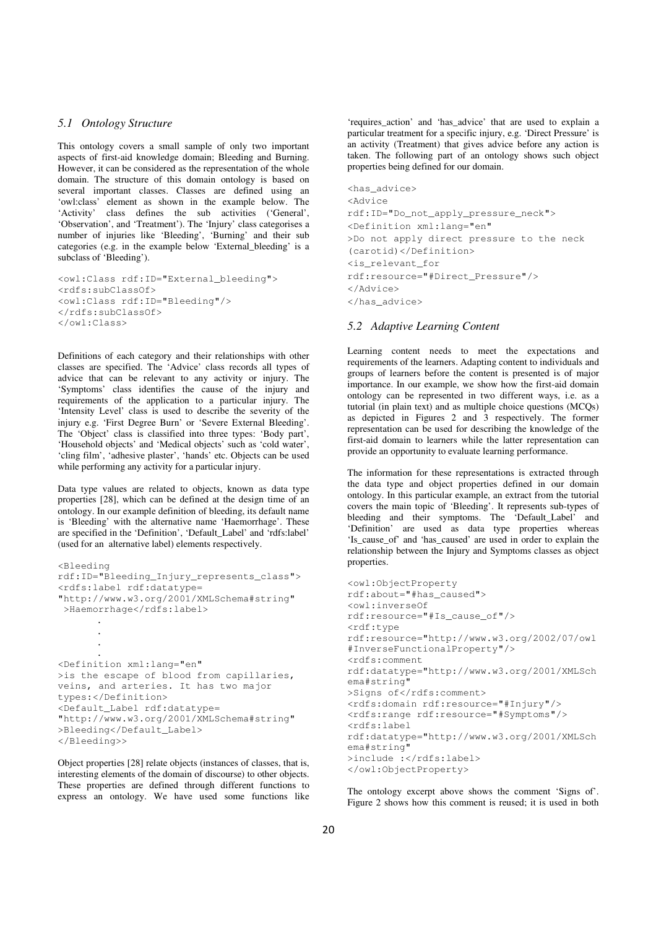#### *5.1 Ontology Structure*

This ontology covers a small sample of only two important aspects of first-aid knowledge domain; Bleeding and Burning. However, it can be considered as the representation of the whole domain. The structure of this domain ontology is based on several important classes. Classes are defined using an 'owl:class' element as shown in the example below. The 'Activity' class defines the sub activities ('General', 'Observation', and 'Treatment'). The 'Injury' class categorises a number of injuries like 'Bleeding', 'Burning' and their sub categories (e.g. in the example below 'External\_bleeding' is a subclass of 'Bleeding').

```
<owl:Class rdf:ID="External_bleeding"> 
<rdfs:subClassOf> 
<owl:Class rdf:ID="Bleeding"/> 
</rdfs:subClassOf> 
</owl:Class>
```
Definitions of each category and their relationships with other classes are specified. The 'Advice' class records all types of advice that can be relevant to any activity or injury. The 'Symptoms' class identifies the cause of the injury and requirements of the application to a particular injury. The 'Intensity Level' class is used to describe the severity of the injury e.g. 'First Degree Burn' or 'Severe External Bleeding'. The 'Object' class is classified into three types: 'Body part', 'Household objects' and 'Medical objects' such as 'cold water', 'cling film', 'adhesive plaster', 'hands' etc. Objects can be used while performing any activity for a particular injury.

Data type values are related to objects, known as data type properties [28], which can be defined at the design time of an ontology. In our example definition of bleeding, its default name is 'Bleeding' with the alternative name 'Haemorrhage'. These are specified in the 'Definition', 'Default\_Label' and 'rdfs:label' (used for an alternative label) elements respectively.

```
<Bleeding 
rdf:ID="Bleeding_Injury_represents_class"> 
<rdfs:label rdf:datatype= 
"http://www.w3.org/2001/XMLSchema#string" 
 >Haemorrhage</rdfs:label>
      . 
       . 
       . 
       . 
<Definition xml:lang="en" 
>is the escape of blood from capillaries, 
veins, and arteries. It has two major 
types:</Definition> 
<Default_Label rdf:datatype= 
"http://www.w3.org/2001/XMLSchema#string" 
>Bleeding</Default_Label> 
</Bleeding>>
```
Object properties [28] relate objects (instances of classes, that is, interesting elements of the domain of discourse) to other objects. These properties are defined through different functions to express an ontology. We have used some functions like

'requires\_action' and 'has\_advice' that are used to explain a particular treatment for a specific injury, e.g. 'Direct Pressure' is an activity (Treatment) that gives advice before any action is taken. The following part of an ontology shows such object properties being defined for our domain.

```
<has_advice> 
<Advice 
rdf:ID="Do_not_apply_pressure_neck"> 
<Definition xml:lang="en" 
>Do not apply direct pressure to the neck 
(carotid)</Definition> 
<is_relevant_for 
rdf:resource="#Direct_Pressure"/> 
</Advice> 
</has_advice>
```
#### *5.2 Adaptive Learning Content*

Learning content needs to meet the expectations and requirements of the learners. Adapting content to individuals and groups of learners before the content is presented is of major importance. In our example, we show how the first-aid domain ontology can be represented in two different ways, i.e. as a tutorial (in plain text) and as multiple choice questions (MCQs) as depicted in Figures 2 and 3 respectively. The former representation can be used for describing the knowledge of the first-aid domain to learners while the latter representation can provide an opportunity to evaluate learning performance.

The information for these representations is extracted through the data type and object properties defined in our domain ontology. In this particular example, an extract from the tutorial covers the main topic of 'Bleeding'. It represents sub-types of bleeding and their symptoms. The 'Default\_Label' and 'Definition' are used as data type properties whereas 'Is\_cause\_of' and 'has\_caused' are used in order to explain the relationship between the Injury and Symptoms classes as object properties.

```
<owl:ObjectProperty 
rdf:about="#has_caused"> 
<owl:inverseOf 
rdf:resource="#Is_cause_of"/> 
<rdf:type 
rdf:resource="http://www.w3.org/2002/07/owl
#InverseFunctionalProperty"/> 
<rdfs:comment 
rdf:datatype="http://www.w3.org/2001/XMLSch
ema#string" 
>Signs of</rdfs:comment>
<rdfs:domain rdf:resource="#Injury"/> 
<rdfs:range rdf:resource="#Symptoms"/> 
<rdfs:label 
rdf:datatype="http://www.w3.org/2001/XMLSch
ema#string" 
>include :</rdfs:label>
</owl:ObjectProperty>
```
The ontology excerpt above shows the comment 'Signs of'. Figure 2 shows how this comment is reused; it is used in both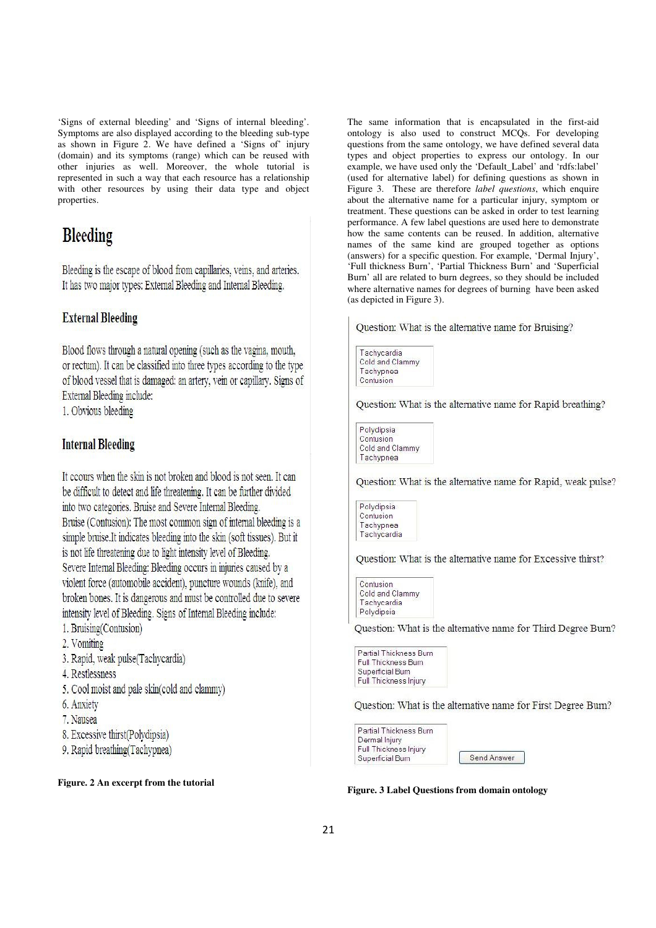'Signs of external bleeding' and 'Signs of internal bleeding'. Symptoms are also displayed according to the bleeding sub-type as shown in Figure 2. We have defined a 'Signs of' injury (domain) and its symptoms (range) which can be reused with other injuries as well. Moreover, the whole tutorial is represented in such a way that each resource has a relationship with other resources by using their data type and object properties.

# **Bleeding**

Bleeding is the escape of blood from capillaries, veins, and arteries. It has two major types: External Bleeding and Internal Bleeding.

# **External Bleeding**

Blood flows through a natural opening (such as the vagina, mouth, or rectum). It can be classified into three types according to the type of blood vessel that is damaged: an artery, vein or capillary. Signs of External Bleeding include:

1. Obvious bleeding

# **Internal Bleeding**

It cours when the skin is not broken and blood is not seen. It can be difficult to detect and life threatening. It can be further divided into two categories. Bruise and Severe Internal Bleeding. Bruise (Contusion): The most common sign of internal bleeding is a simple bruise. It indicates bleeding into the skin (soft tissues). But it is not life threatening due to light intensity level of Bleeding. Severe Internal Bleeding: Bleeding occurs in injuries caused by a violent force (automobile accident), puncture wounds (knife), and broken bones. It is dangerous and must be controlled due to severe intensity level of Bleeding. Signs of Internal Bleeding include:

- 1. Bruising(Contusion)
- 2. Vomiting
- 3. Rapid, weak pulse(Tachycardia)
- 4. Restlessness
- 5. Cool moist and pale skin(cold and clammy)
- 6. Anxiety
- 7. Nausea
- 8. Excessive thirst(Polydipsia)
- 9. Rapid breathing (Tachypnea)

#### **Figure. 2 An excerpt from the tutorial**

The same information that is encapsulated in the first-aid ontology is also used to construct MCQs. For developing questions from the same ontology, we have defined several data types and object properties to express our ontology. In our example, we have used only the 'Default\_Label' and 'rdfs:label' (used for alternative label) for defining questions as shown in Figure 3. These are therefore *label questions*, which enquire about the alternative name for a particular injury, symptom or treatment. These questions can be asked in order to test learning performance. A few label questions are used here to demonstrate how the same contents can be reused. In addition, alternative names of the same kind are grouped together as options (answers) for a specific question. For example, 'Dermal Injury', 'Full thickness Burn', 'Partial Thickness Burn' and 'Superficial Burn' all are related to burn degrees, so they should be included where alternative names for degrees of burning have been asked (as depicted in Figure 3).

Question: What is the alternative name for Bruising?



Question: What is the alternative name for Rapid breathing?

Polydipsia Contusion Cold and Clammy Tachypnea

Question: What is the alternative name for Rapid, weak pulse?



Question: What is the alternative name for Excessive thirst?

| Contusion       |
|-----------------|
| Cold and Clammy |
| Tachycardia     |
| Polydipsia      |

Question: What is the alternative name for Third Degree Burn?

Partial Thickness Burn Full Thickness Burn Superficial Burn Full Thickness Injury

Question: What is the alternative name for First Degree Burn?

Send Answer



**Figure. 3 Label Questions from domain ontology**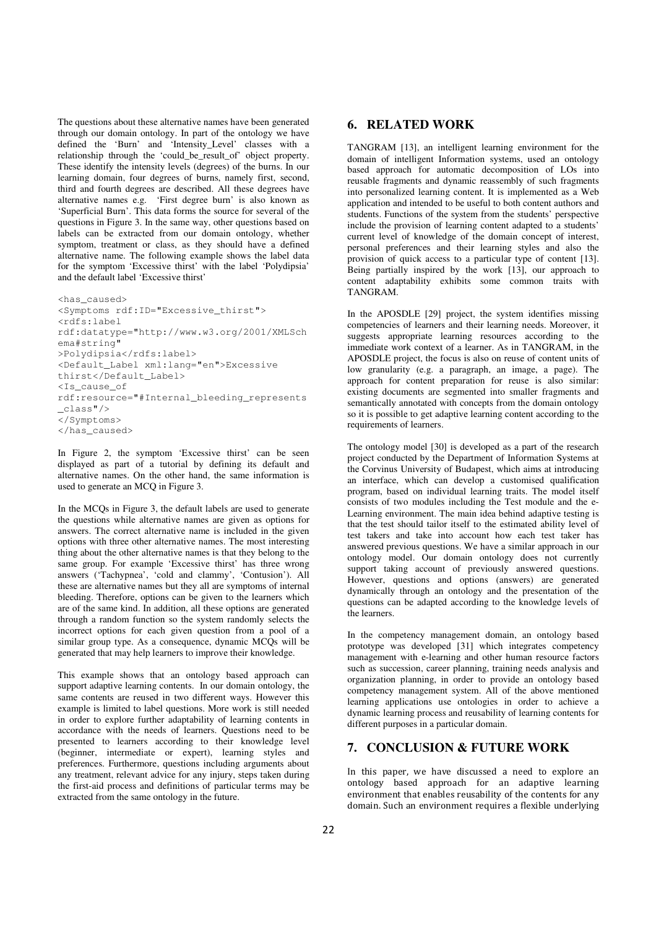The questions about these alternative names have been generated through our domain ontology. In part of the ontology we have defined the 'Burn' and 'Intensity\_Level' classes with a relationship through the 'could\_be\_result\_of' object property. These identify the intensity levels (degrees) of the burns. In our learning domain, four degrees of burns, namely first, second, third and fourth degrees are described. All these degrees have alternative names e.g. 'First degree burn' is also known as 'Superficial Burn'. This data forms the source for several of the questions in Figure 3. In the same way, other questions based on labels can be extracted from our domain ontology, whether symptom, treatment or class, as they should have a defined alternative name. The following example shows the label data for the symptom 'Excessive thirst' with the label 'Polydipsia' and the default label 'Excessive thirst'

```
<has_caused> 
<Symptoms rdf:ID="Excessive_thirst"> 
<rdfs:label 
rdf:datatype="http://www.w3.org/2001/XMLSch
ema#string" 
>Polydipsia</rdfs:label>
<Default_Label xml:lang="en">Excessive 
thirst</Default_Label> 
<Is_cause_of 
rdf:resource="#Internal_bleeding_represents
_class"/> 
</Symptoms> 
</has_caused>
```
In Figure 2, the symptom 'Excessive thirst' can be seen displayed as part of a tutorial by defining its default and alternative names. On the other hand, the same information is used to generate an MCQ in Figure 3.

In the MCQs in Figure 3, the default labels are used to generate the questions while alternative names are given as options for answers. The correct alternative name is included in the given options with three other alternative names. The most interesting thing about the other alternative names is that they belong to the same group. For example 'Excessive thirst' has three wrong answers ('Tachypnea', 'cold and clammy', 'Contusion'). All these are alternative names but they all are symptoms of internal bleeding. Therefore, options can be given to the learners which are of the same kind. In addition, all these options are generated through a random function so the system randomly selects the incorrect options for each given question from a pool of a similar group type. As a consequence, dynamic MCQs will be generated that may help learners to improve their knowledge.

This example shows that an ontology based approach can support adaptive learning contents. In our domain ontology, the same contents are reused in two different ways. However this example is limited to label questions. More work is still needed in order to explore further adaptability of learning contents in accordance with the needs of learners. Questions need to be presented to learners according to their knowledge level (beginner, intermediate or expert), learning styles and preferences. Furthermore, questions including arguments about any treatment, relevant advice for any injury, steps taken during the first-aid process and definitions of particular terms may be extracted from the same ontology in the future.

TANGRAM [13], an intelligent learning environment for the domain of intelligent Information systems, used an ontology based approach for automatic decomposition of LOs into reusable fragments and dynamic reassembly of such fragments into personalized learning content. It is implemented as a Web application and intended to be useful to both content authors and students. Functions of the system from the students' perspective include the provision of learning content adapted to a students' current level of knowledge of the domain concept of interest, personal preferences and their learning styles and also the provision of quick access to a particular type of content [13]. Being partially inspired by the work [13], our approach to content adaptability exhibits some common traits with TANGRAM.

In the APOSDLE [29] project, the system identifies missing competencies of learners and their learning needs. Moreover, it suggests appropriate learning resources according to the immediate work context of a learner. As in TANGRAM, in the APOSDLE project, the focus is also on reuse of content units of low granularity (e.g. a paragraph, an image, a page). The approach for content preparation for reuse is also similar: existing documents are segmented into smaller fragments and semantically annotated with concepts from the domain ontology so it is possible to get adaptive learning content according to the requirements of learners.

The ontology model [30] is developed as a part of the research project conducted by the Department of Information Systems at the Corvinus University of Budapest, which aims at introducing an interface, which can develop a customised qualification program, based on individual learning traits. The model itself consists of two modules including the Test module and the e-Learning environment. The main idea behind adaptive testing is that the test should tailor itself to the estimated ability level of test takers and take into account how each test taker has answered previous questions. We have a similar approach in our ontology model. Our domain ontology does not currently support taking account of previously answered questions. However, questions and options (answers) are generated dynamically through an ontology and the presentation of the questions can be adapted according to the knowledge levels of the learners.

In the competency management domain, an ontology based prototype was developed [31] which integrates competency management with e-learning and other human resource factors such as succession, career planning, training needs analysis and organization planning, in order to provide an ontology based competency management system. All of the above mentioned learning applications use ontologies in order to achieve a dynamic learning process and reusability of learning contents for different purposes in a particular domain.

## **7. CONCLUSION & FUTURE WORK**

In this paper, we have discussed a need to explore an ontology based approach for an adaptive learning environment that enables reusability of the contents for any domain. Such an environment requires a flexible underlying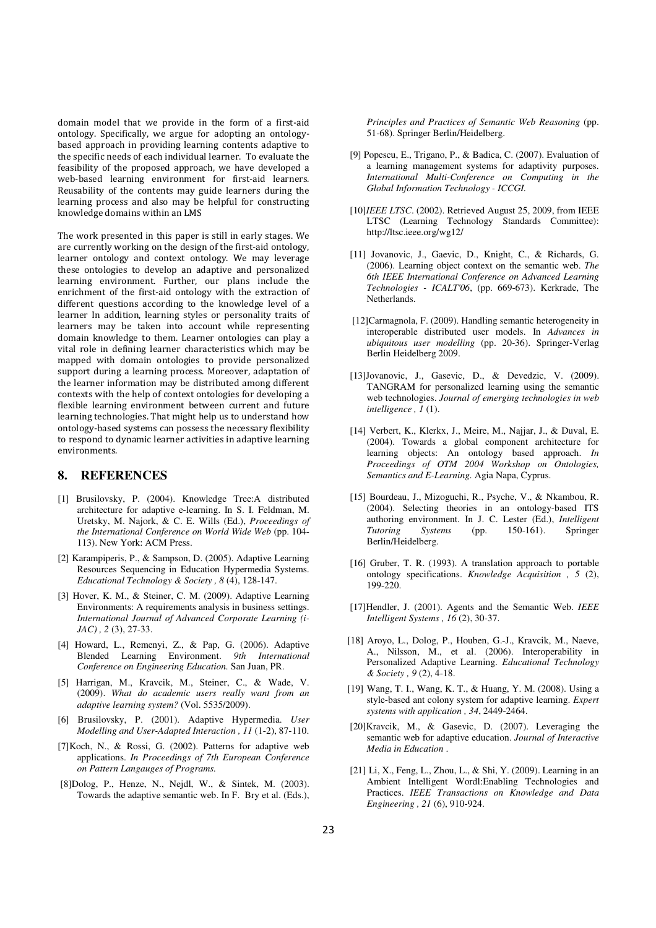domain model that we provide in the form of a first-aid ontology. Specifically, we argue for adopting an ontologybased approach in providing learning contents adaptive to the specific needs of each individual learner. To evaluate the feasibility of the proposed approach, we have developed a web-based learning environment for first-aid learners. Reusability of the contents may guide learners during the learning process and also may be helpful for constructing knowledge domains within an LMS

The work presented in this paper is still in early stages. We are currently working on the design of the first-aid ontology, learner ontology and context ontology. We may leverage these ontologies to develop an adaptive and personalized learning environment. Further, our plans include the enrichment of the first-aid ontology with the extraction of different questions according to the knowledge level of a learner In addition, learning styles or personality traits of learners may be taken into account while representing domain knowledge to them. Learner ontologies can play a vital role in defining learner characteristics which may be mapped with domain ontologies to provide personalized support during a learning process. Moreover, adaptation of the learner information may be distributed among different contexts with the help of context ontologies for developing a flexible learning environment between current and future learning technologies. That might help us to understand how ontology-based systems can possess the necessary flexibility to respond to dynamic learner activities in adaptive learning environments.

## **8. REFERENCES**

- [1] Brusilovsky, P. (2004). Knowledge Tree:A distributed architecture for adaptive e-learning. In S. I. Feldman, M. Uretsky, M. Najork, & C. E. Wills (Ed.), *Proceedings of the International Conference on World Wide Web* (pp. 104- 113). New York: ACM Press.
- [2] Karampiperis, P., & Sampson, D. (2005). Adaptive Learning Resources Sequencing in Education Hypermedia Systems. *Educational Technology & Society , 8* (4), 128-147.
- [3] Hover, K. M., & Steiner, C. M. (2009). Adaptive Learning Environments: A requirements analysis in business settings. *International Journal of Advanced Corporate Learning (i-JAC) , 2* (3), 27-33.
- [4] Howard, L., Remenyi, Z., & Pap, G. (2006). Adaptive Blended Learning Environment. *9th International Conference on Engineering Education.* San Juan, PR.
- [5] Harrigan, M., Kravcik, M., Steiner, C., & Wade, V. (2009). *What do academic users really want from an adaptive learning system?* (Vol. 5535/2009).
- [6] Brusilovsky, P. (2001). Adaptive Hypermedia. *User Modelling and User-Adapted Interaction , 11* (1-2), 87-110.
- [7]Koch, N., & Rossi, G. (2002). Patterns for adaptive web applications. *In Proceedings of 7th European Conference on Pattern Langauges of Programs.*
- [8]Dolog, P., Henze, N., Nejdl, W., & Sintek, M. (2003). Towards the adaptive semantic web. In F. Bry et al. (Eds.),

*Principles and Practices of Semantic Web Reasoning* (pp. 51-68). Springer Berlin/Heidelberg.

- [9] Popescu, E., Trigano, P., & Badica, C. (2007). Evaluation of a learning management systems for adaptivity purposes. *International Multi-Conference on Computing in the Global Information Technology - ICCGI.*
- [10]*IEEE LTSC*. (2002). Retrieved August 25, 2009, from IEEE LTSC (Learning Technology Standards Committee): http://ltsc.ieee.org/wg12/
- [11] Jovanovic, J., Gaevic, D., Knight, C., & Richards, G. (2006). Learning object context on the semantic web. *The 6th IEEE International Conference on Advanced Learning Technologies - ICALT'06*, (pp. 669-673). Kerkrade, The Netherlands.
- [12]Carmagnola, F. (2009). Handling semantic heterogeneity in interoperable distributed user models. In *Advances in ubiquitous user modelling* (pp. 20-36). Springer-Verlag Berlin Heidelberg 2009.
- [13]Jovanovic, J., Gasevic, D., & Devedzic, V. (2009). TANGRAM for personalized learning using the semantic web technologies. *Journal of emerging technologies in web intelligence , 1* (1).
- [14] Verbert, K., Klerkx, J., Meire, M., Najjar, J., & Duval, E. (2004). Towards a global component architecture for learning objects: An ontology based approach. *In Proceedings of OTM 2004 Workshop on Ontologies, Semantics and E-Learning.* Agia Napa, Cyprus.
- [15] Bourdeau, J., Mizoguchi, R., Psyche, V., & Nkambou, R. (2004). Selecting theories in an ontology-based ITS authoring environment. In J. C. Lester (Ed.), *Intelligent Tutoring Systems* (pp. 150-161). Springer Berlin/Heidelberg.
- [16] Gruber, T. R. (1993). A translation approach to portable ontology specifications. *Knowledge Acquisition , 5* (2), 199-220.
- [17]Hendler, J. (2001). Agents and the Semantic Web. *IEEE Intelligent Systems , 16* (2), 30-37.
- [18] Aroyo, L., Dolog, P., Houben, G.-J., Kravcik, M., Naeve, A., Nilsson, M., et al. (2006). Interoperability in Personalized Adaptive Learning. *Educational Technology & Society , 9* (2), 4-18.
- [19] Wang, T. I., Wang, K. T., & Huang, Y. M. (2008). Using a style-based ant colony system for adaptive learning. *Expert systems with application , 34*, 2449-2464.
- [20]Kravcik, M., & Gasevic, D. (2007). Leveraging the semantic web for adaptive education. *Journal of Interactive Media in Education* .
- [21] Li, X., Feng, L., Zhou, L., & Shi, Y. (2009). Learning in an Ambient Intelligent Wordl:Enabling Technologies and Practices. *IEEE Transactions on Knowledge and Data Engineering , 21* (6), 910-924.